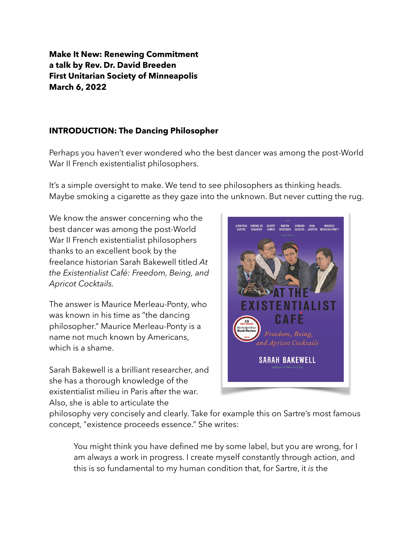**Make It New: Renewing Commitment a talk by Rev. Dr. David Breeden First Unitarian Society of Minneapolis March 6, 2022**

## **INTRODUCTION: The Dancing Philosopher**

Perhaps you haven't ever wondered who the best dancer was among the post-World War II French existentialist philosophers.

It's a simple oversight to make. We tend to see philosophers as thinking heads. Maybe smoking a cigarette as they gaze into the unknown. But never cutting the rug.

We know the answer concerning who the best dancer was among the post-World War II French existentialist philosophers thanks to an excellent book by the freelance historian Sarah Bakewell titled *[At](https://www.goodreads.com/work/quotes/45480464)  [the Existentialist Café: Freedom, Being, and](https://www.goodreads.com/work/quotes/45480464)  [Apricot Cocktails.](https://www.goodreads.com/work/quotes/45480464)* 

The answer is Maurice Merleau-Ponty, who was known in his time as "the dancing philosopher." Maurice Merleau-Ponty is a name not much known by Americans, which is a shame.

Sarah Bakewell is a brilliant researcher, and she has a thorough knowledge of the existentialist milieu in Paris after the war. Also, she is able to articulate the



philosophy very concisely and clearly. Take for example this on Sartre's most famous concept, "existence proceeds essence." She writes:

You might think you have defined me by some label, but you are wrong, for I am always a work in progress. I create myself constantly through action, and this is so fundamental to my human condition that, for Sartre, it *is* the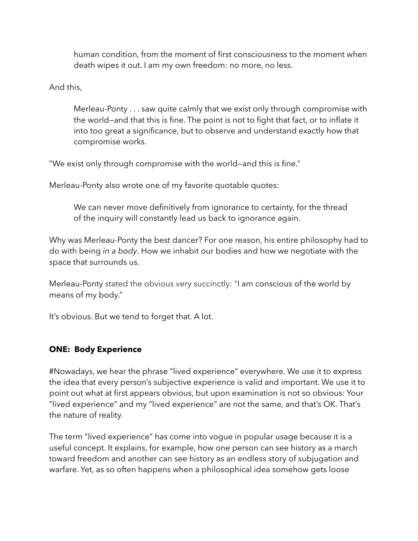human condition, from the moment of first consciousness to the moment when death wipes it out. I am my own freedom: no more, no less.

And this,

Merleau-Ponty . . . saw quite calmly that we exist only through compromise with the world—and that this is fine. The point is not to fight that fact, or to inflate it into too great a significance, but to observe and understand exactly how that compromise works.

"We exist only through compromise with the world—and this is fine."

Merleau-Ponty also wrote one of my favorite quotable quotes:

We can never move definitively from ignorance to certainty, for the thread of the inquiry will constantly lead us back to ignorance again.

Why was Merleau-Ponty the best dancer? For one reason, his entire philosophy had to do with being *in a body*. How we inhabit our bodies and how we negotiate with the space that surrounds us.

Merleau-Ponty stated the obvious very succinctly: "I am conscious of the world by means of my body."

It's obvious. But we tend to forget that. A lot.

### **ONE: Body Experience**

#Nowadays, we hear the phrase "lived experience" everywhere. We use it to express the idea that every person's subjective experience is valid and important. We use it to point out what at first appears obvious, but upon examination is not so obvious: Your "lived experience" and my "lived experience" are not the same, and that's OK. That's the nature of reality.

The term "lived experience" has come into vogue in popular usage because it is a useful concept. It explains, for example, how one person can see history as a march toward freedom and another can see history as an endless story of subjugation and warfare. Yet, as so often happens when a philosophical idea somehow gets loose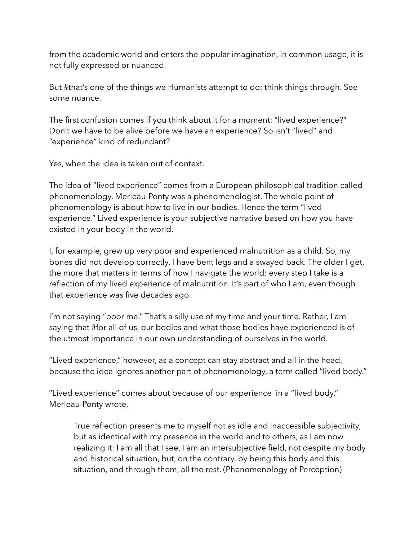from the academic world and enters the popular imagination, in common usage, it is not fully expressed or nuanced.

But #that's one of the things we Humanists attempt to do: think things through. See some nuance.

The first confusion comes if you think about it for a moment: "lived experience?" Don't we have to be alive before we have an experience? So isn't "lived" and "experience" kind of redundant?

Yes, when the idea is taken out of context.

The idea of "lived experience" comes from a European philosophical tradition called phenomenology. Merleau-Ponty was a phenomenologist. The whole point of phenomenology is about how to live in our bodies. Hence the term "lived experience." Lived experience is your subjective narrative based on how you have existed in your body in the world.

I, for example, grew up very poor and experienced malnutrition as a child. So, my bones did not develop correctly. I have bent legs and a swayed back. The older I get, the more that matters in terms of how I navigate the world: every step I take is a reflection of my lived experience of malnutrition. It's part of who I am, even though that experience was five decades ago.

I'm not saying "poor me." That's a silly use of my time and your time. Rather, I am saying that #for all of us, our bodies and what those bodies have experienced is of the utmost importance in our own understanding of ourselves in the world.

"Lived experience," however, as a concept can stay abstract and all in the head, because the idea ignores another part of phenomenology, a term called "lived body."

"Lived experience" comes about because of our experience in a "lived body." Merleau-Ponty wrote,

True reflection presents me to myself not as idle and inaccessible subjectivity, but as identical with my presence in the world and to others, as I am now realizing it: I am all that I see, I am an intersubjective field, not despite my body and historical situation, but, on the contrary, by being this body and this situation, and through them, all the rest. ([Phenomenology of Perception](https://www.goodreads.com/work/quotes/19727))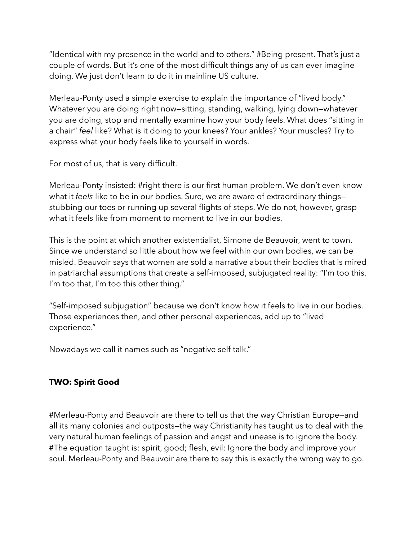"Identical with my presence in the world and to others." #Being present. That's just a couple of words. But it's one of the most difficult things any of us can ever imagine doing. We just don't learn to do it in mainline US culture.

Merleau-Ponty used a simple exercise to explain the importance of "lived body." Whatever you are doing right now—sitting, standing, walking, lying down—whatever you are doing, stop and mentally examine how your body feels. What does "sitting in a chair" *feel* like? What is it doing to your knees? Your ankles? Your muscles? Try to express what your body feels like to yourself in words.

For most of us, that is very difficult.

Merleau-Ponty insisted: #right there is our first human problem. We don't even know what it *feels* like to be in our bodies. Sure, we are aware of extraordinary things stubbing our toes or running up several flights of steps. We do not, however, grasp what it feels like from moment to moment to live in our bodies.

This is the point at which another existentialist, Simone de Beauvoir, went to town. Since we understand so little about how we feel within our own bodies, we can be misled. Beauvoir says that women are sold a narrative about their bodies that is mired in patriarchal assumptions that create a self-imposed, subjugated reality: "I'm too this, I'm too that, I'm too this other thing."

"Self-imposed subjugation" because we don't know how it feels to live in our bodies. Those experiences then, and other personal experiences, add up to "lived experience."

Nowadays we call it names such as "negative self talk."

# **TWO: Spirit Good**

#Merleau-Ponty and Beauvoir are there to tell us that the way Christian Europe—and all its many colonies and outposts—the way Christianity has taught us to deal with the very natural human feelings of passion and angst and unease is to ignore the body. #The equation taught is: spirit, good; flesh, evil: Ignore the body and improve your soul. Merleau-Ponty and Beauvoir are there to say this is exactly the wrong way to go.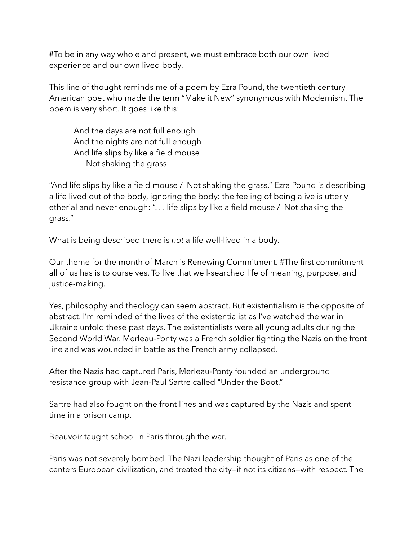#To be in any way whole and present, we must embrace both our own lived experience and our own lived body.

This line of thought reminds me of a poem by Ezra Pound, the twentieth century American poet who made the term "Make it New" synonymous with Modernism. The poem is very short. It goes like this:

And the days are not full enough And the nights are not full enough And life slips by like a field mouse Not shaking the grass

"And life slips by like a field mouse / Not shaking the grass." Ezra Pound is describing a life lived out of the body, ignoring the body: the feeling of being alive is utterly etherial and never enough: ". . . life slips by like a field mouse / Not shaking the grass."

What is being described there is *not* a life well-lived in a body.

Our theme for the month of March is Renewing Commitment. #The first commitment all of us has is to ourselves. To live that well-searched life of meaning, purpose, and justice-making.

Yes, philosophy and theology can seem abstract. But existentialism is the opposite of abstract. I'm reminded of the lives of the existentialist as I've watched the war in Ukraine unfold these past days. The existentialists were all young adults during the Second World War. Merleau-Ponty was a French soldier fighting the Nazis on the front line and was wounded in battle as the French army collapsed.

After the Nazis had captured Paris, Merleau-Ponty founded an underground resistance group with Jean-Paul Sartre called "Under the Boot."

Sartre had also fought on the front lines and was captured by the Nazis and spent time in a prison camp.

Beauvoir taught school in Paris through the war.

Paris was not severely bombed. The Nazi leadership thought of Paris as one of the centers European civilization, and treated the city—if not its citizens—with respect. The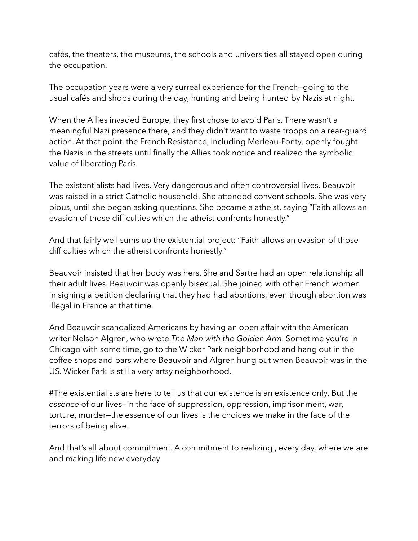cafés, the theaters, the museums, the schools and universities all stayed open during the occupation.

The occupation years were a very surreal experience for the French—going to the usual cafés and shops during the day, hunting and being hunted by Nazis at night.

When the Allies invaded Europe, they first chose to avoid Paris. There wasn't a meaningful Nazi presence there, and they didn't want to waste troops on a rear-guard action. At that point, the French Resistance, including Merleau-Ponty, openly fought the Nazis in the streets until finally the Allies took notice and realized the symbolic value of liberating Paris.

The existentialists had lives. Very dangerous and often controversial lives. Beauvoir was raised in a strict Catholic household. She attended convent schools. She was very pious, until she began asking questions. She became a atheist, saying "Faith allows an evasion of those difficulties which the atheist confronts honestly."

And that fairly well sums up the existential project: "Faith allows an evasion of those difficulties which the atheist confronts honestly."

Beauvoir insisted that her body was hers. She and Sartre had an open relationship all their adult lives. Beauvoir was openly bisexual. She joined with other French women in signing a petition declaring that they had had abortions, even though abortion was illegal in France at that time.

And Beauvoir scandalized Americans by having an open affair with the American writer Nelson Algren, who wrote *The Man with the Golden Arm*. Sometime you're in Chicago with some time, go to the Wicker Park neighborhood and hang out in the coffee shops and bars where Beauvoir and Algren hung out when Beauvoir was in the US. Wicker Park is still a very artsy neighborhood.

#The existentialists are here to tell us that our existence is an existence only. But the *essence* of our lives—in the face of suppression, oppression, imprisonment, war, torture, murder—the essence of our lives is the choices we make in the face of the terrors of being alive.

And that's all about commitment. A commitment to realizing , every day, where we are and making life new everyday